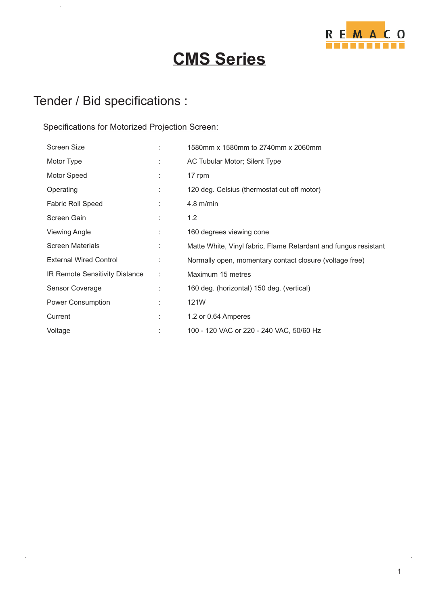

# **CMS Series**

### Tender / Bid specifications :

 $\bar{z}$ 

#### Specifications for Motorized Projection Screen:

| <b>Screen Size</b>             | ÷  | 1580mm x 1580mm to 2740mm x 2060mm                              |
|--------------------------------|----|-----------------------------------------------------------------|
| Motor Type                     | t. | AC Tubular Motor; Silent Type                                   |
| Motor Speed                    |    | 17 rpm                                                          |
| Operating                      | ÷  | 120 deg. Celsius (thermostat cut off motor)                     |
| <b>Fabric Roll Speed</b>       |    | $4.8$ m/min                                                     |
| Screen Gain                    |    | 1.2                                                             |
| <b>Viewing Angle</b>           | ÷  | 160 degrees viewing cone                                        |
| <b>Screen Materials</b>        |    | Matte White, Vinyl fabric, Flame Retardant and fungus resistant |
| <b>External Wired Control</b>  | ÷  | Normally open, momentary contact closure (voltage free)         |
| IR Remote Sensitivity Distance | ÷  | Maximum 15 metres                                               |
| Sensor Coverage                |    | 160 deg. (horizontal) 150 deg. (vertical)                       |
| <b>Power Consumption</b>       | ÷  | 121W                                                            |
| Current                        | t  | 1.2 or 0.64 Amperes                                             |
| Voltage                        |    | 100 - 120 VAC or 220 - 240 VAC, 50/60 Hz                        |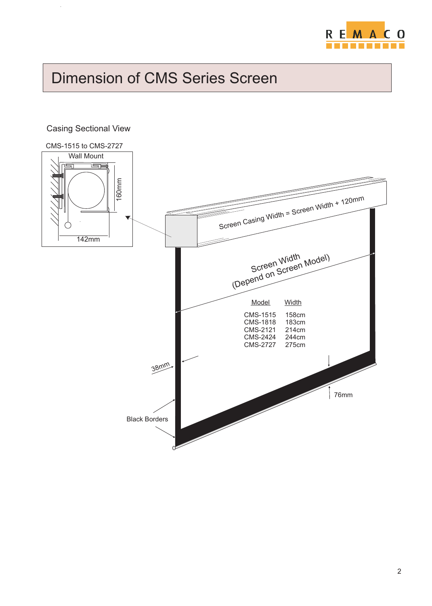

# Dimension of CMS Series Screen

### CMS-1515 to CMS-2727 Wall Mount الکا  $\overline{\phantom{0}}$ ε 16 0mScreen Casing Width = Screen Width + 120mm Screen Widt  $\lnot$ 142mmWidth el) Screen Wid Screen Mod (Depend on Model Width CMS-1515 158cm CMS-1818 183cm<br>CMS-2121 214cm CMS-2121 214cm CMS-2424 244cm CMS-2727 38mm 76mm Black Borders

#### Casing Sectional View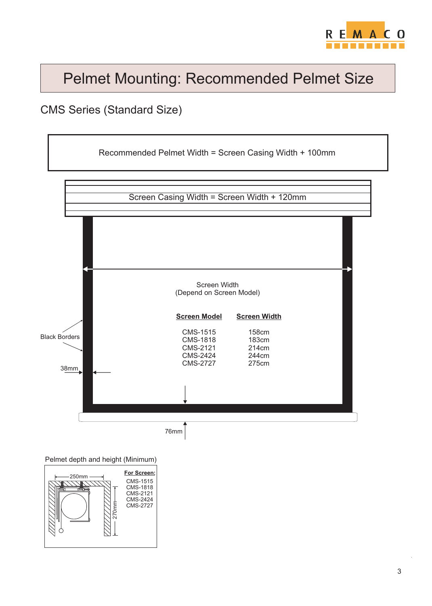

# Pelmet Mounting: Recommended Pelmet Size

### CMS Series (Standard Size)



Pelmet depth and height (Minimum)

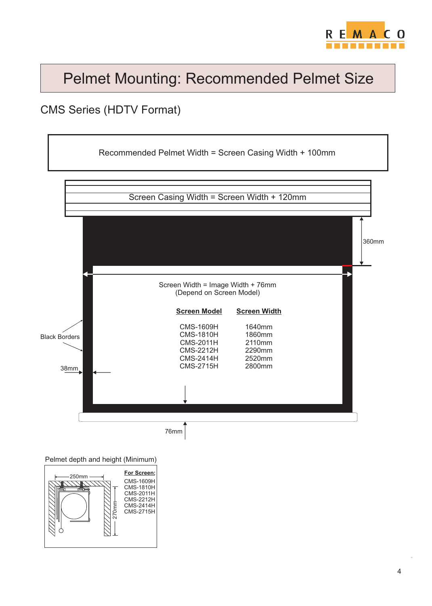

## Pelmet Mounting: Recommended Pelmet Size

### CMS Series (HDTV Format)



Pelmet depth and height (Minimum)